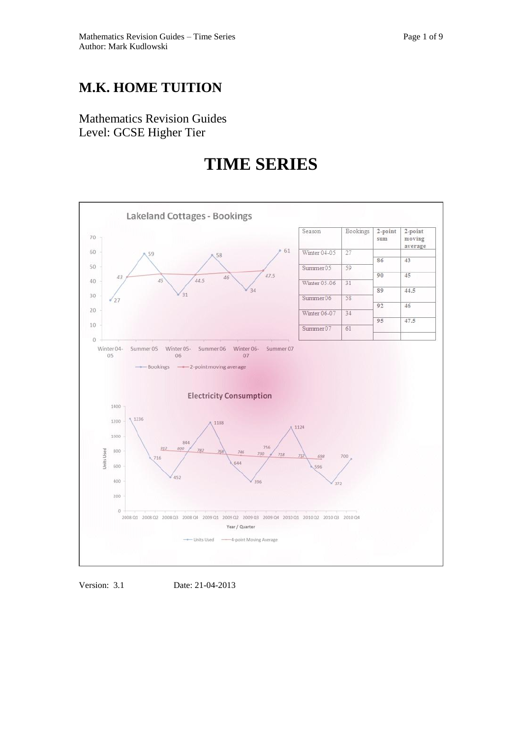## **M.K. HOME TUITION**

Mathematics Revision Guides Level: GCSE Higher Tier

## **TIME SERIES**



Version: 3.1 Date: 21-04-2013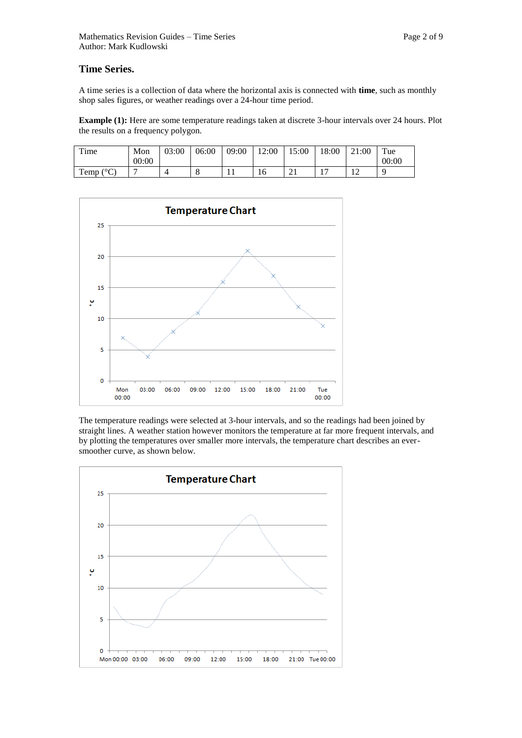A time series is a collection of data where the horizontal axis is connected with **time**, such as monthly shop sales figures, or weather readings over a 24-hour time period.

**Example (1):** Here are some temperature readings taken at discrete 3-hour intervals over 24 hours. Plot the results on a frequency polygon.

| m.<br>ime             | Mon   | 03:00 | 06:00 | 09:00 | 12:00 | 15:00             | 18:00 | 21:00       | $T_{\text{ue}}$ |
|-----------------------|-------|-------|-------|-------|-------|-------------------|-------|-------------|-----------------|
|                       | 00:00 |       |       |       |       |                   |       |             | 00:00           |
| (0)<br>m<br>Temp<br>◡ |       |       | O     | . .   | 16    | $\bigcap$ 1<br>∠⊥ | . .   | $\sim$<br>∸ |                 |



The temperature readings were selected at 3-hour intervals, and so the readings had been joined by straight lines. A weather station however monitors the temperature at far more frequent intervals, and by plotting the temperatures over smaller more intervals, the temperature chart describes an eversmoother curve, as shown below.

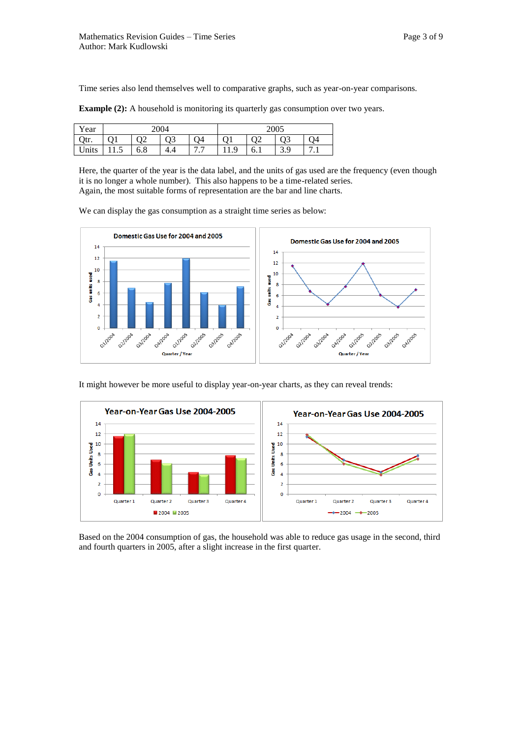Time series also lend themselves well to comparative graphs, such as year-on-year comparisons.

**Example (2):** A household is monitoring its quarterly gas consumption over two years.

| Year  | 2004 |                |     |                                           | 2005 |     |     |                            |
|-------|------|----------------|-----|-------------------------------------------|------|-----|-----|----------------------------|
| Qtr.  |      | Q <sub>2</sub> | Q3  | O4                                        |      |     | Q3  | O4                         |
| Units | .    | 6.8            | 4.4 | $\overline{ }$ $\overline{ }$<br>$\cdots$ | 11.Y | 0.1 | ر.ر | $\overline{ }$<br>$\cdots$ |

Here, the quarter of the year is the data label, and the units of gas used are the frequency (even though it is no longer a whole number). This also happens to be a time-related series. Again, the most suitable forms of representation are the bar and line charts.

We can display the gas consumption as a straight time series as below:



It might however be more useful to display year-on-year charts, as they can reveal trends:



Based on the 2004 consumption of gas, the household was able to reduce gas usage in the second, third and fourth quarters in 2005, after a slight increase in the first quarter.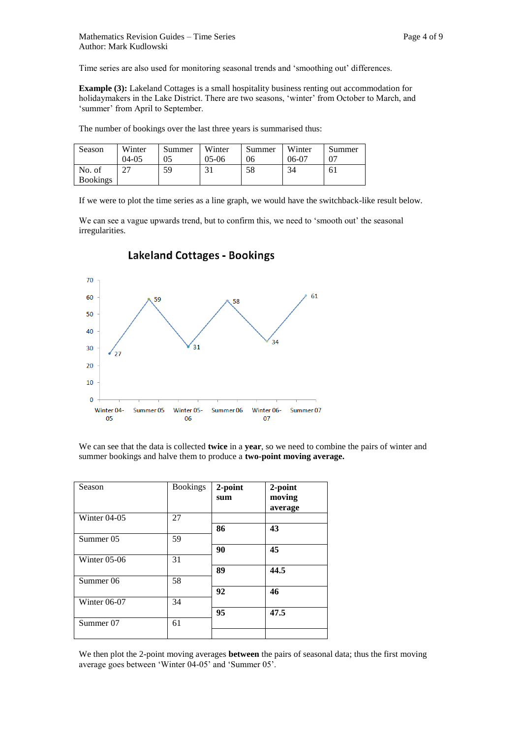Time series are also used for monitoring seasonal trends and 'smoothing out' differences.

**Example (3):** Lakeland Cottages is a small hospitality business renting out accommodation for holidaymakers in the Lake District. There are two seasons, 'winter' from October to March, and 'summer' from April to September.

The number of bookings over the last three years is summarised thus:

| Season          | Winter    | Summer | Winter  | Summer | Winter | Summer |
|-----------------|-----------|--------|---------|--------|--------|--------|
|                 | $04 - 05$ |        | $05-06$ | 06     | 06-07  |        |
| No. of          |           | 59     | 31      | 58     | 34     | 61     |
| <b>Bookings</b> |           |        |         |        |        |        |

If we were to plot the time series as a line graph, we would have the switchback-like result below.

We can see a vague upwards trend, but to confirm this, we need to 'smooth out' the seasonal irregularities.



## **Lakeland Cottages - Bookings**

We can see that the data is collected **twice** in a **year**, so we need to combine the pairs of winter and summer bookings and halve them to produce a **two-point moving average.**

| Season         | <b>Bookings</b> | 2-point<br>sum | 2-point<br>moving<br>average |
|----------------|-----------------|----------------|------------------------------|
| Winter $04-05$ | 27              | 86             | 43                           |
| Summer 05      | 59              |                |                              |
| Winter $05-06$ | 31              | 90             | 45                           |
|                |                 | 89             | 44.5                         |
| Summer 06      | 58              | 92             | 46                           |
| Winter $06-07$ | 34              |                |                              |
|                |                 | 95             | 47.5                         |
| Summer 07      | 61              |                |                              |

We then plot the 2-point moving averages **between** the pairs of seasonal data; thus the first moving average goes between 'Winter 04-05' and 'Summer 05'.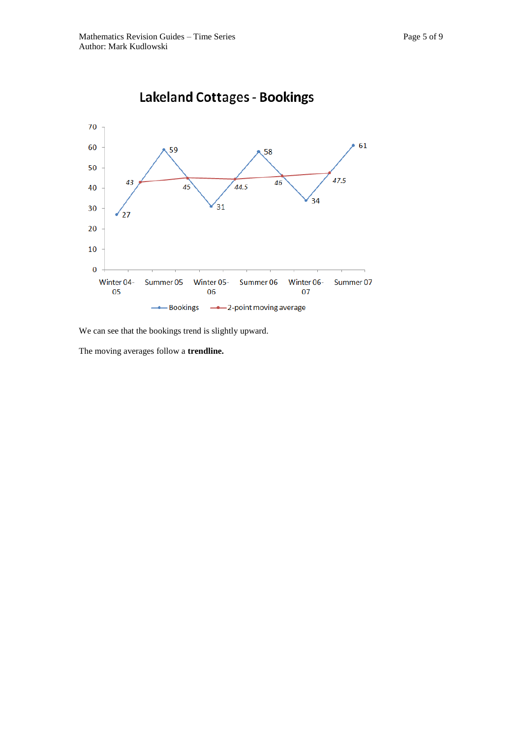

We can see that the bookings trend is slightly upward.

The moving averages follow a **trendline.**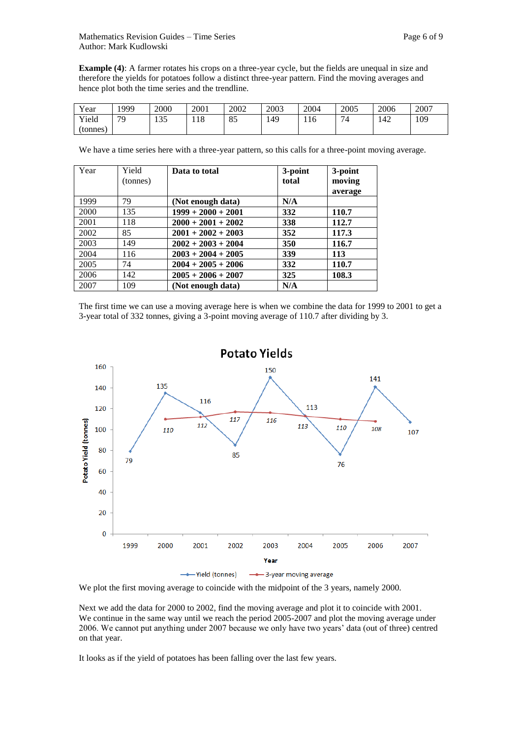| <b>T</b><br>Y ear | 999 | 2000              | 2001 | 2002              | 2003 | 2004 | 2005 | 2006 | 2007 |
|-------------------|-----|-------------------|------|-------------------|------|------|------|------|------|
| Yield             | 70  | $\Omega$<br>1 J J | 118  | $Q \subset$<br>ΟJ | 149  | 116  | –    | 142  | 109  |
| (tonnes)          |     |                   |      |                   |      |      |      |      |      |

We have a time series here with a three-year pattern, so this calls for a three-point moving average.

| Year | Yield    | Data to total        | 3-point | 3-point |
|------|----------|----------------------|---------|---------|
|      | (tonnes) |                      | total   | moving  |
|      |          |                      |         | average |
| 1999 | 79       | (Not enough data)    | N/A     |         |
| 2000 | 135      | $1999 + 2000 + 2001$ | 332     | 110.7   |
| 2001 | 118      | $2000 + 2001 + 2002$ | 338     | 112.7   |
| 2002 | 85       | $2001 + 2002 + 2003$ | 352     | 117.3   |
| 2003 | 149      | $2002 + 2003 + 2004$ | 350     | 116.7   |
| 2004 | 116      | $2003 + 2004 + 2005$ | 339     | 113     |
| 2005 | 74       | $2004 + 2005 + 2006$ | 332     | 110.7   |
| 2006 | 142      | $2005 + 2006 + 2007$ | 325     | 108.3   |
| 2007 | 109      | (Not enough data)    | N/A     |         |

The first time we can use a moving average here is when we combine the data for 1999 to 2001 to get a 3-year total of 332 tonnes, giving a 3-point moving average of 110.7 after dividing by 3.



We plot the first moving average to coincide with the midpoint of the 3 years, namely 2000.

Next we add the data for 2000 to 2002, find the moving average and plot it to coincide with 2001. We continue in the same way until we reach the period 2005-2007 and plot the moving average under 2006. We cannot put anything under 2007 because we only have two years' data (out of three) centred on that year.

It looks as if the yield of potatoes has been falling over the last few years.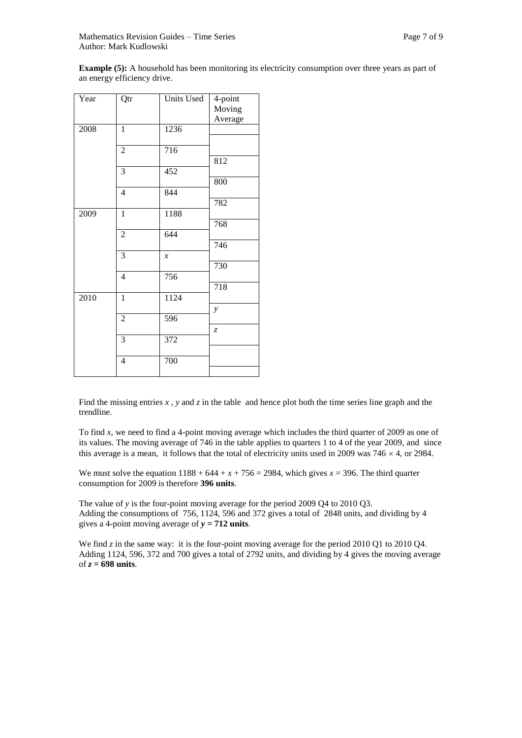**Example (5):** A household has been monitoring its electricity consumption over three years as part of an energy efficiency drive.

| Year | Qtr            | Units Used                 | 4-point<br>Moving |
|------|----------------|----------------------------|-------------------|
|      |                |                            | Average           |
| 2008 | $\mathbf{1}$   | 1236                       |                   |
|      | $\sqrt{2}$     | 716                        |                   |
|      |                |                            | 812               |
|      | 3              | 452                        |                   |
|      |                |                            | 800               |
|      | $\overline{4}$ | 844                        |                   |
|      |                |                            | 782               |
| 2009 | $\mathbf{1}$   | 1188                       |                   |
|      |                |                            | 768               |
|      | $\overline{2}$ | 644                        |                   |
|      |                |                            | 746               |
|      | 3              | $\boldsymbol{\mathcal{X}}$ |                   |
|      |                |                            | 730               |
|      | $\overline{4}$ | 756                        |                   |
|      |                |                            | 718               |
| 2010 | $\mathbf{1}$   | 1124                       |                   |
|      |                |                            | y                 |
|      | $\overline{2}$ | 596                        |                   |
|      |                |                            | $\overline{z}$    |
|      | $\mathfrak{Z}$ | 372                        |                   |
|      |                |                            |                   |
|      | $\overline{4}$ | 700                        |                   |
|      |                |                            |                   |

Find the missing entries  $x$ ,  $y$  and  $z$  in the table and hence plot both the time series line graph and the trendline.

To find *x,* we need to find a 4-point moving average which includes the third quarter of 2009 as one of its values. The moving average of 746 in the table applies to quarters 1 to 4 of the year 2009, and since this average is a mean, it follows that the total of electricity units used in 2009 was  $746 \times 4$ , or 2984.

We must solve the equation  $1188 + 644 + x + 756 = 2984$ , which gives  $x = 396$ . The third quarter consumption for 2009 is therefore **396 units**.

The value of *y* is the four-point moving average for the period 2009 Q4 to 2010 Q3. Adding the consumptions of 756, 1124, 596 and 372 gives a total of 2848 units, and dividing by 4 gives a 4-point moving average of  $y = 712$  units.

We find *z* in the same way: it is the four-point moving average for the period 2010 Q1 to 2010 Q4. Adding 1124, 596, 372 and 700 gives a total of 2792 units, and dividing by 4 gives the moving average of  $z = 698$  units.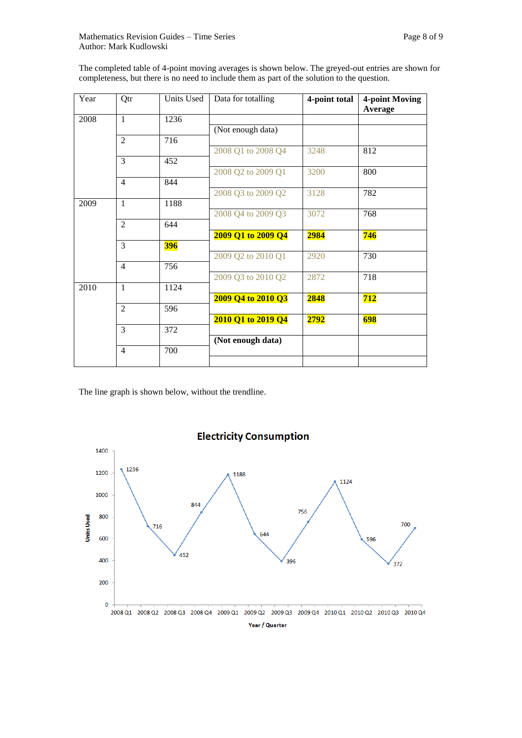The completed table of 4-point moving averages is shown below. The greyed-out entries are shown for completeness, but there is no need to include them as part of the solution to the question.

| Year | Qtr            | Units Used | Data for totalling | 4-point total | 4-point Moving<br>Average |
|------|----------------|------------|--------------------|---------------|---------------------------|
| 2008 | $\mathbf{1}$   | 1236       |                    |               |                           |
|      |                |            | (Not enough data)  |               |                           |
|      | $\overline{2}$ | 716        |                    |               |                           |
|      |                |            | 2008 Q1 to 2008 Q4 | 3248          | 812                       |
|      | 3              | 452        |                    |               |                           |
|      |                |            | 2008 Q2 to 2009 Q1 | 3200          | 800                       |
|      | $\overline{4}$ | 844        |                    |               |                           |
|      |                |            | 2008 Q3 to 2009 Q2 | 3128          | 782                       |
| 2009 | $\mathbf{1}$   | 1188       |                    |               |                           |
|      |                |            | 2008 Q4 to 2009 Q3 | 3072          | 768                       |
|      | $\overline{2}$ | 644        |                    |               |                           |
|      | 3              |            | 2009 Q1 to 2009 Q4 | 2984          | 746                       |
|      |                | <b>396</b> | 2009 Q2 to 2010 Q1 | 2920          | 730                       |
|      | $\overline{4}$ | 756        |                    |               |                           |
|      |                |            | 2009 Q3 to 2010 Q2 | 2872          | 718                       |
| 2010 | $\mathbf{1}$   | 1124       |                    |               |                           |
|      |                |            | 2009 Q4 to 2010 Q3 | 2848          | 712                       |
|      | $\overline{2}$ | 596        |                    |               |                           |
|      |                |            | 2010 Q1 to 2019 Q4 | 2792          | 698                       |
|      | 3              | 372        |                    |               |                           |
|      |                |            | (Not enough data)  |               |                           |
|      | 4              | 700        |                    |               |                           |
|      |                |            |                    |               |                           |

The line graph is shown below, without the trendline.